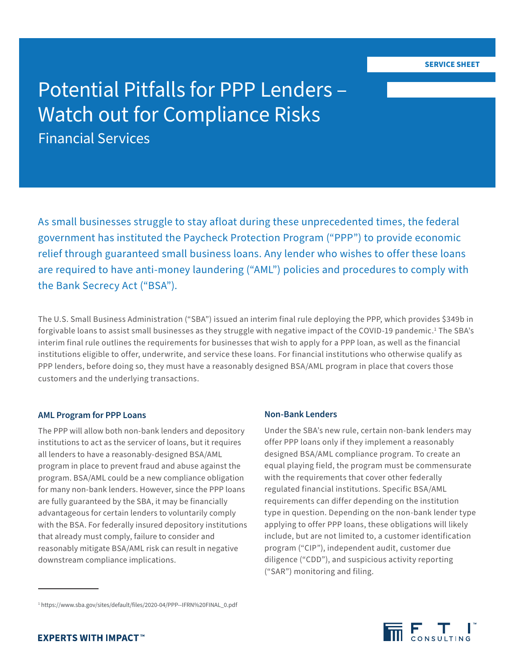# Potential Pitfalls for PPP Lenders – Watch out for Compliance Risks Financial Services

As small businesses struggle to stay afloat during these unprecedented times, the federal government has instituted the Paycheck Protection Program ("PPP") to provide economic relief through guaranteed small business loans. Any lender who wishes to offer these loans are required to have anti-money laundering ("AML") policies and procedures to comply with the Bank Secrecy Act ("BSA").

The U.S. Small Business Administration ("SBA") issued an interim final rule deploying the PPP, which provides \$349b in forgivable loans to assist small businesses as they struggle with negative impact of the COVID-19 pandemic.<sup>1</sup> The SBA's interim final rule outlines the requirements for businesses that wish to apply for a PPP loan, as well as the financial institutions eligible to offer, underwrite, and service these loans. For financial institutions who otherwise qualify as PPP lenders, before doing so, they must have a reasonably designed BSA/AML program in place that covers those customers and the underlying transactions.

#### **AML Program for PPP Loans**

The PPP will allow both non-bank lenders and depository institutions to act as the servicer of loans, but it requires all lenders to have a reasonably-designed BSA/AML program in place to prevent fraud and abuse against the program. BSA/AML could be a new compliance obligation for many non-bank lenders. However, since the PPP loans are fully guaranteed by the SBA, it may be financially advantageous for certain lenders to voluntarily comply with the BSA. For federally insured depository institutions that already must comply, failure to consider and reasonably mitigate BSA/AML risk can result in negative downstream compliance implications.

#### **Non-Bank Lenders**

Under the SBA's new rule, certain non-bank lenders may offer PPP loans only if they implement a reasonably designed BSA/AML compliance program. To create an equal playing field, the program must be commensurate with the requirements that cover other federally regulated financial institutions. Specific BSA/AML requirements can differ depending on the institution type in question. Depending on the non-bank lender type applying to offer PPP loans, these obligations will likely include, but are not limited to, a customer identification program ("CIP"), independent audit, customer due diligence ("CDD"), and suspicious activity reporting ("SAR") monitoring and filing.